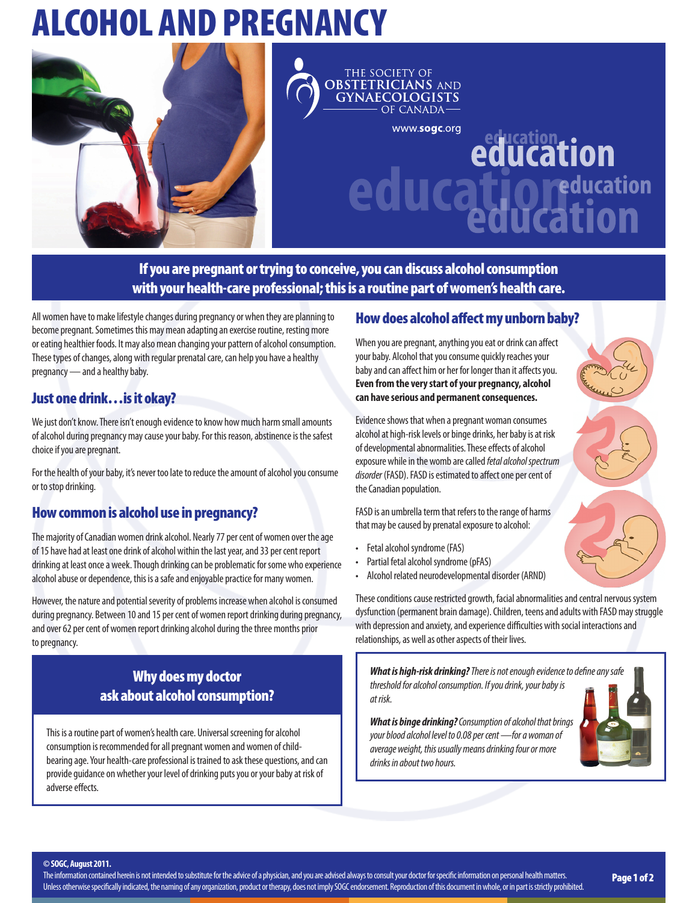# ALCOHOL AND PREGNANCY



THE SOCIETY OF **OBSTETRICIANS AND GYNAECOLOGISTS** OF CANADA-

www.sogc.org

# education<br>**ducation Equitation**<br> **UICation**<br> **Education** education

If you are pregnant or trying to conceive, you can discuss alcohol consumption with your health-care professional; this is a routine part of women's health care.

All women have to make lifestyle changes during pregnancy or when they are planning to become pregnant. Sometimes this may mean adapting an exercise routine, resting more or eating healthier foods. It may also mean changing your pattern of alcohol consumption. These types of changes, along with regular prenatal care, can help you have a healthy pregnancy — and a healthy baby.

### Just one drink…is it okay?

We just don't know. There isn't enough evidence to know how much harm small amounts of alcohol during pregnancy may cause your baby. For this reason, abstinence is the safest choice if you are pregnant.

For the health of your baby, it's never too late to reduce the amount of alcohol you consume or to stop drinking.

# How common is alcohol use in pregnancy?

The majority of Canadian women drink alcohol. Nearly 77 per cent of women over the age of 15 have had at least one drink of alcohol within the last year, and 33 per cent report drinking at least once a week. Though drinking can be problematic for some who experience alcohol abuse or dependence, this is a safe and enjoyable practice for many women.

However, the nature and potential severity of problems increase when alcohol is consumed during pregnancy. Between 10 and 15 per cent of women report drinking during pregnancy, and over 62 per cent of women report drinking alcohol during the three months prior to pregnancy.

## Why does my doctor ask about alcohol consumption?

This is a routine part of women's health care. Universal screening for alcohol consumption is recommended for all pregnant women and women of childbearing age. Your health-care professional is trained to ask these questions, and can provide guidance on whether your level of drinking puts you or your baby at risk of adverse effects.

#### How does alcohol affect my unborn baby?

When you are pregnant, anything you eat or drink can affect your baby. Alcohol that you consume quickly reaches your baby and can affect him or her for longer than it affects you. **Even from the very start of your pregnancy, alcohol can have serious and permanent consequences.**

Evidence shows that when a pregnant woman consumes alcohol at high-risk levels or binge drinks, her baby is at risk of developmental abnormalities. These effects of alcohol exposure while in the womb are called *fetal alcohol spectrum disorder* (FASD). FASD is estimated to affect one per cent of the Canadian population.

FASD is an umbrella term that refers to the range of harms that may be caused by prenatal exposure to alcohol:

- Fetal alcohol syndrome (FAS)
- Partial fetal alcohol syndrome (pFAS)
- Alcohol related neurodevelopmental disorder (ARND)

These conditions cause restricted growth, facial abnormalities and central nervous system dysfunction (permanent brain damage). Children, teens and adults with FASD may struggle with depression and anxiety, and experience difficulties with social interactions and relationships, as well as other aspects of their lives.

*What is high-risk drinking? There is not enough evidence to define any safe threshold for alcohol consumption. If you drink, your baby is at risk.*

*What is binge drinking? Consumption of alcohol that brings your blood alcohol level to 0.08 per cent —for a woman of average weight, this usually means drinking four or more drinks in about two hours.*



**© SOGC, August 2011.**